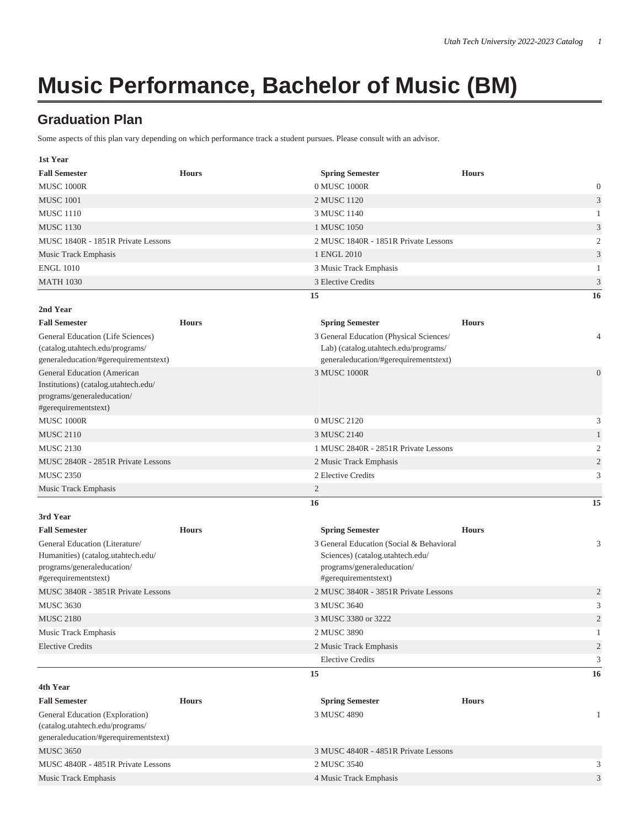## **Music Performance, Bachelor of Music (BM)**

## **Graduation Plan**

Some aspects of this plan vary depending on which performance track a student pursues. Please consult with an advisor.

| 1st Year                                                         |              |                                                                |              |                             |
|------------------------------------------------------------------|--------------|----------------------------------------------------------------|--------------|-----------------------------|
| <b>Fall Semester</b>                                             | <b>Hours</b> | <b>Spring Semester</b>                                         | <b>Hours</b> |                             |
| <b>MUSC 1000R</b>                                                |              | 0 MUSC 1000R                                                   |              | $\boldsymbol{0}$            |
| <b>MUSC 1001</b>                                                 |              | 2 MUSC 1120                                                    |              | $\ensuremath{\mathfrak{Z}}$ |
| <b>MUSC 1110</b>                                                 |              | 3 MUSC 1140                                                    |              | $\mathbf{1}$                |
| <b>MUSC 1130</b>                                                 |              | 1 MUSC 1050                                                    |              | 3                           |
| MUSC 1840R - 1851R Private Lessons                               |              | 2 MUSC 1840R - 1851R Private Lessons                           |              | $\sqrt{2}$                  |
| Music Track Emphasis                                             |              | 1 ENGL 2010                                                    |              | 3                           |
| <b>ENGL 1010</b>                                                 |              | 3 Music Track Emphasis                                         |              | 1                           |
| <b>MATH 1030</b>                                                 |              | 3 Elective Credits                                             |              | $\mathfrak{Z}$              |
|                                                                  |              | 15                                                             |              | 16                          |
| 2nd Year                                                         |              |                                                                |              |                             |
| <b>Fall Semester</b>                                             | <b>Hours</b> | <b>Spring Semester</b>                                         | <b>Hours</b> |                             |
| General Education (Life Sciences)                                |              | 3 General Education (Physical Sciences/                        |              | $\overline{4}$              |
| (catalog.utahtech.edu/programs/                                  |              | Lab) (catalog.utahtech.edu/programs/                           |              |                             |
| generaleducation/#gerequirementstext)                            |              | generaleducation/#gerequirementstext)                          |              |                             |
| General Education (American                                      |              | <b>3 MUSC 1000R</b>                                            |              | $\boldsymbol{0}$            |
| Institutions) (catalog.utahtech.edu/                             |              |                                                                |              |                             |
| programs/generaleducation/<br>#gerequirementstext)               |              |                                                                |              |                             |
| <b>MUSC 1000R</b>                                                |              | 0 MUSC 2120                                                    |              | 3                           |
| <b>MUSC 2110</b>                                                 |              | 3 MUSC 2140                                                    |              | $\mathbf{1}$                |
| <b>MUSC 2130</b>                                                 |              | 1 MUSC 2840R - 2851R Private Lessons                           |              | $\mathfrak{2}$              |
|                                                                  |              |                                                                |              |                             |
| MUSC 2840R - 2851R Private Lessons                               |              | 2 Music Track Emphasis                                         |              | $\overline{c}$              |
| <b>MUSC 2350</b>                                                 |              | 2 Elective Credits                                             |              | 3                           |
| Music Track Emphasis                                             |              | $\mathfrak{2}$                                                 |              |                             |
|                                                                  |              | 16                                                             |              | 15                          |
| 3rd Year                                                         |              |                                                                |              |                             |
| <b>Fall Semester</b>                                             | <b>Hours</b> | <b>Spring Semester</b>                                         | <b>Hours</b> |                             |
| General Education (Literature/                                   |              | 3 General Education (Social & Behavioral                       |              | 3                           |
| Humanities) (catalog.utahtech.edu/<br>programs/generaleducation/ |              | Sciences) (catalog.utahtech.edu/<br>programs/generaleducation/ |              |                             |
| #gerequirementstext)                                             |              | #gerequirementstext)                                           |              |                             |
| MUSC 3840R - 3851R Private Lessons                               |              | 2 MUSC 3840R - 3851R Private Lessons                           |              | $\overline{\mathbf{c}}$     |
| <b>MUSC 3630</b>                                                 |              | 3 MUSC 3640                                                    |              | 3                           |
| <b>MUSC 2180</b>                                                 |              | 3 MUSC 3380 or 3222                                            |              | $\mathbf{2}$                |
| Music Track Emphasis                                             |              | 2 MUSC 3890                                                    |              | 1                           |
| <b>Elective Credits</b>                                          |              | 2 Music Track Emphasis                                         |              | $\sqrt{2}$                  |
|                                                                  |              | <b>Elective Credits</b>                                        |              | 3                           |
|                                                                  |              | 15                                                             |              | 16                          |
| 4th Year                                                         |              |                                                                |              |                             |
| <b>Fall Semester</b>                                             | <b>Hours</b> | <b>Spring Semester</b>                                         | <b>Hours</b> |                             |
| General Education (Exploration)                                  |              | 3 MUSC 4890                                                    |              | $\mathbf{1}$                |
| (catalog.utahtech.edu/programs/                                  |              |                                                                |              |                             |
| generaleducation/#gerequirementstext)                            |              |                                                                |              |                             |
| <b>MUSC 3650</b>                                                 |              |                                                                |              |                             |
|                                                                  |              | 3 MUSC 4840R - 4851R Private Lessons                           |              |                             |
| MUSC 4840R - 4851R Private Lessons                               |              | 2 MUSC 3540                                                    |              | 3                           |